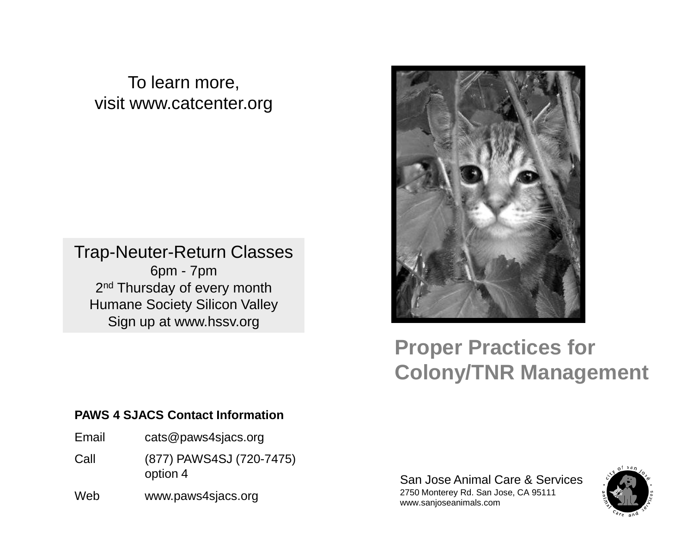# To learn more, visit www.catcenter.org

# Trap-Neuter-Return Classes 6pm - 7pm

2<sup>nd</sup> Thursday of every month Humane Society Silicon Valley Sign up at www.hssv.org

# **Proper Practices for Colony/TNR Management**

#### **PAWS 4 SJACS Contact Information**

- Email cats@paws4sjacs.org
- Call (877) PAWS4SJ (720-7475) option 4
- Web www.paws4sjacs.org

San Jose Animal Care & Services 2750 Monterey Rd. San Jose, CA 95111 www.sanjoseanimals.com